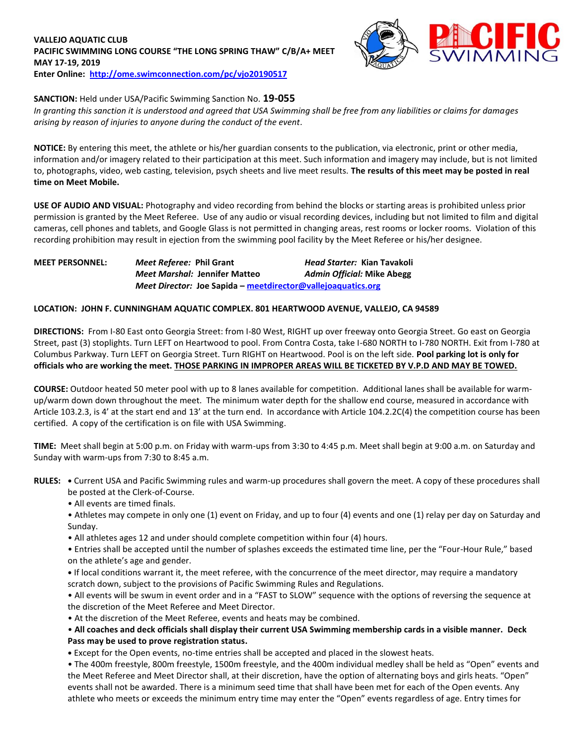## **VALLEJO AQUATIC CLUB PACIFIC SWIMMING LONG COURSE "THE LONG SPRING THAW" C/B/A+ MEET MAY 17-19, 2019 Enter Online: <http://ome.swimconnection.com/pc/vjo20190517>**



# **SANCTION:** Held under USA/Pacific Swimming Sanction No. **19-055**

*In granting this sanction it is understood and agreed that USA Swimming shall be free from any liabilities or claims for damages arising by reason of injuries to anyone during the conduct of the event.*

**NOTICE:** By entering this meet, the athlete or his/her guardian consents to the publication, via electronic, print or other media, information and/or imagery related to their participation at this meet. Such information and imagery may include, but is not limited to, photographs, video, web casting, television, psych sheets and live meet results. **The results of this meet may be posted in real time on Meet Mobile.**

**USE OF AUDIO AND VISUAL:** Photography and video recording from behind the blocks or starting areas is prohibited unless prior permission is granted by the Meet Referee. Use of any audio or visual recording devices, including but not limited to film and digital cameras, cell phones and tablets, and Google Glass is not permitted in changing areas, rest rooms or locker rooms. Violation of this recording prohibition may result in ejection from the swimming pool facility by the Meet Referee or his/her designee.

# **MEET PERSONNEL:** *Meet Referee:* **Phil Grant** *Head Starter:* **Kian Tavakoli** *Meet Marshal:* **Jennifer Matteo** *Admin Official:* **Mike Abegg** *Meet Director:* **Joe Sapida – [meetdirector@vallejoaquatics.org](mailto:meetdirector@vallejoaquatics.org)**

#### **LOCATION: JOHN F. CUNNINGHAM AQUATIC COMPLEX. 801 HEARTWOOD AVENUE, VALLEJO, CA 94589**

**DIRECTIONS:** From I-80 East onto Georgia Street: from I-80 West, RIGHT up over freeway onto Georgia Street. Go east on Georgia Street, past (3) stoplights. Turn LEFT on Heartwood to pool. From Contra Costa, take I-680 NORTH to I-780 NORTH. Exit from I-780 at Columbus Parkway. Turn LEFT on Georgia Street. Turn RIGHT on Heartwood. Pool is on the left side. **Pool parking lot is only for officials who are working the meet. THOSE PARKING IN IMPROPER AREAS WILL BE TICKETED BY V.P.D AND MAY BE TOWED.** 

**COURSE:** Outdoor heated 50 meter pool with up to 8 lanes available for competition. Additional lanes shall be available for warmup/warm down down throughout the meet. The minimum water depth for the shallow end course, measured in accordance with Article 103.2.3, is 4' at the start end and 13' at the turn end. In accordance with Article 104.2.2C(4) the competition course has been certified. A copy of the certification is on file with USA Swimming.

**TIME:** Meet shall begin at 5:00 p.m. on Friday with warm-ups from 3:30 to 4:45 p.m. Meet shall begin at 9:00 a.m. on Saturday and Sunday with warm-ups from 7:30 to 8:45 a.m.

- **RULES: •** Current USA and Pacific Swimming rules and warm-up procedures shall govern the meet. A copy of these procedures shall be posted at the Clerk-of-Course.
	- All events are timed finals.
	- Athletes may compete in only one (1) event on Friday, and up to four (4) events and one (1) relay per day on Saturday and Sunday.
	- All athletes ages 12 and under should complete competition within four (4) hours.
	- Entries shall be accepted until the number of splashes exceeds the estimated time line, per the "Four-Hour Rule," based on the athlete's age and gender.
	- **•** If local conditions warrant it, the meet referee, with the concurrence of the meet director, may require a mandatory scratch down, subject to the provisions of Pacific Swimming Rules and Regulations.
	- All events will be swum in event order and in a "FAST to SLOW" sequence with the options of reversing the sequence at the discretion of the Meet Referee and Meet Director.
	- At the discretion of the Meet Referee, events and heats may be combined.

## • **All coaches and deck officials shall display their current USA Swimming membership cards in a visible manner. Deck Pass may be used to prove registration status.**

**•** Except for the Open events, no-time entries shall be accepted and placed in the slowest heats.

• The 400m freestyle, 800m freestyle, 1500m freestyle, and the 400m individual medley shall be held as "Open" events and the Meet Referee and Meet Director shall, at their discretion, have the option of alternating boys and girls heats. "Open" events shall not be awarded. There is a minimum seed time that shall have been met for each of the Open events. Any athlete who meets or exceeds the minimum entry time may enter the "Open" events regardless of age. Entry times for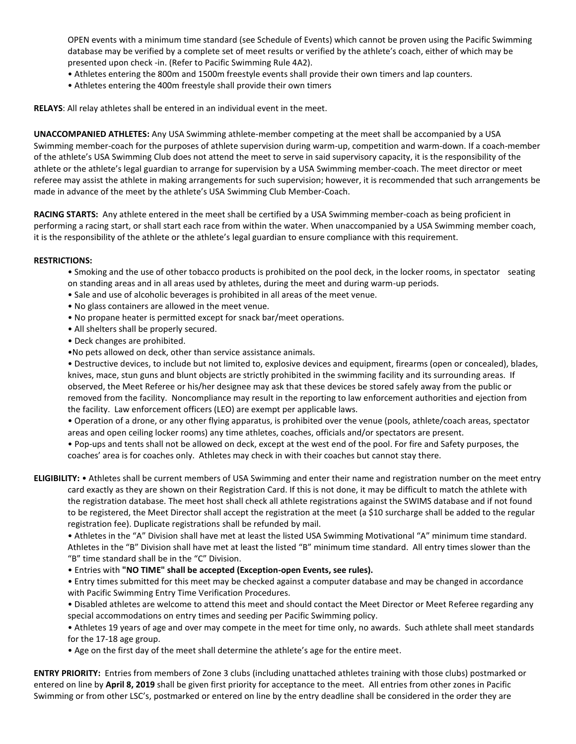OPEN events with a minimum time standard (see Schedule of Events) which cannot be proven using the Pacific Swimming database may be verified by a complete set of meet results or verified by the athlete's coach, either of which may be presented upon check -in. (Refer to Pacific Swimming Rule 4A2).

- Athletes entering the 800m and 1500m freestyle events shall provide their own timers and lap counters.
- Athletes entering the 400m freestyle shall provide their own timers

**RELAYS**: All relay athletes shall be entered in an individual event in the meet.

**UNACCOMPANIED ATHLETES:** Any USA Swimming athlete-member competing at the meet shall be accompanied by a USA Swimming member-coach for the purposes of athlete supervision during warm-up, competition and warm-down. If a coach-member of the athlete's USA Swimming Club does not attend the meet to serve in said supervisory capacity, it is the responsibility of the athlete or the athlete's legal guardian to arrange for supervision by a USA Swimming member-coach. The meet director or meet referee may assist the athlete in making arrangements for such supervision; however, it is recommended that such arrangements be made in advance of the meet by the athlete's USA Swimming Club Member-Coach.

**RACING STARTS:** Any athlete entered in the meet shall be certified by a USA Swimming member-coach as being proficient in performing a racing start, or shall start each race from within the water. When unaccompanied by a USA Swimming member coach, it is the responsibility of the athlete or the athlete's legal guardian to ensure compliance with this requirement.

#### **RESTRICTIONS:**

• Smoking and the use of other tobacco products is prohibited on the pool deck, in the locker rooms, in spectator seating on standing areas and in all areas used by athletes, during the meet and during warm-up periods.

- Sale and use of alcoholic beverages is prohibited in all areas of the meet venue.
- No glass containers are allowed in the meet venue.
- No propane heater is permitted except for snack bar/meet operations.
- All shelters shall be properly secured.
- Deck changes are prohibited.
- •No pets allowed on deck, other than service assistance animals.

• Destructive devices, to include but not limited to, explosive devices and equipment, firearms (open or concealed), blades, knives, mace, stun guns and blunt objects are strictly prohibited in the swimming facility and its surrounding areas. If observed, the Meet Referee or his/her designee may ask that these devices be stored safely away from the public or removed from the facility. Noncompliance may result in the reporting to law enforcement authorities and ejection from the facility. Law enforcement officers (LEO) are exempt per applicable laws.

• Operation of a drone, or any other flying apparatus, is prohibited over the venue (pools, athlete/coach areas, spectator areas and open ceiling locker rooms) any time athletes, coaches, officials and/or spectators are present.

• Pop-ups and tents shall not be allowed on deck, except at the west end of the pool. For fire and Safety purposes, the coaches' area is for coaches only. Athletes may check in with their coaches but cannot stay there.

**ELIGIBILITY:** • Athletes shall be current members of USA Swimming and enter their name and registration number on the meet entry card exactly as they are shown on their Registration Card. If this is not done, it may be difficult to match the athlete with the registration database. The meet host shall check all athlete registrations against the SWIMS database and if not found to be registered, the Meet Director shall accept the registration at the meet (a \$10 surcharge shall be added to the regular registration fee). Duplicate registrations shall be refunded by mail.

• Athletes in the "A" Division shall have met at least the listed USA Swimming Motivational "A" minimum time standard. Athletes in the "B" Division shall have met at least the listed "B" minimum time standard. All entry times slower than the "B" time standard shall be in the "C" Division.

- Entries with **"NO TIME" shall be accepted (Exception-open Events, see rules).**
- Entry times submitted for this meet may be checked against a computer database and may be changed in accordance with Pacific Swimming Entry Time Verification Procedures.
- Disabled athletes are welcome to attend this meet and should contact the Meet Director or Meet Referee regarding any special accommodations on entry times and seeding per Pacific Swimming policy.
- Athletes 19 years of age and over may compete in the meet for time only, no awards. Such athlete shall meet standards for the 17-18 age group.
- Age on the first day of the meet shall determine the athlete's age for the entire meet.

**ENTRY PRIORITY:** Entries from members of Zone 3 clubs (including unattached athletes training with those clubs) postmarked or entered on line by **April 8, 2019** shall be given first priority for acceptance to the meet. All entries from other zones in Pacific Swimming or from other LSC's, postmarked or entered on line by the entry deadline shall be considered in the order they are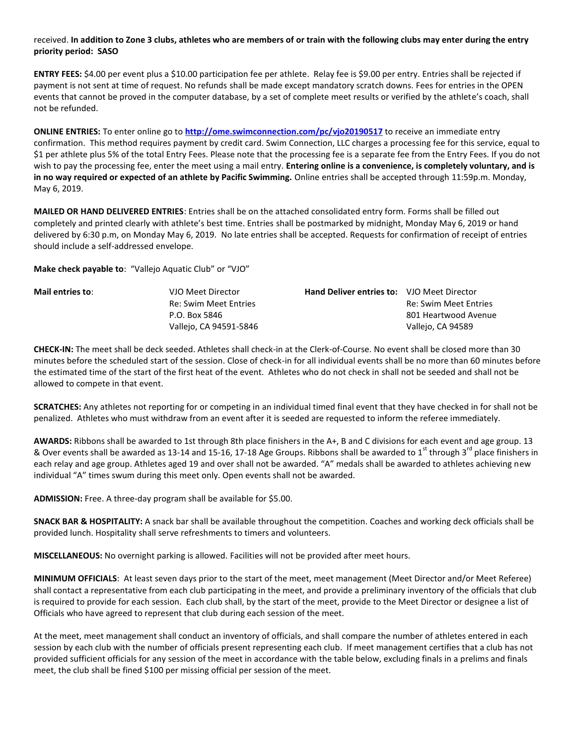#### received. **In addition to Zone 3 clubs, athletes who are members of or train with the following clubs may enter during the entry priority period: SASO**

**ENTRY FEES:** \$4.00 per event plus a \$10.00 participation fee per athlete. Relay fee is \$9.00 per entry. Entries shall be rejected if payment is not sent at time of request. No refunds shall be made except mandatory scratch downs. Fees for entries in the OPEN events that cannot be proved in the computer database, by a set of complete meet results or verified by the athlete's coach, shall not be refunded.

**ONLINE ENTRIES:** To enter online go to **<http://ome.swimconnection.com/pc/vjo20190517>** to receive an immediate entry confirmation. This method requires payment by credit card. Swim Connection, LLC charges a processing fee for this service, equal to \$1 per athlete plus 5% of the total Entry Fees. Please note that the processing fee is a separate fee from the Entry Fees. If you do not wish to pay the processing fee, enter the meet using a mail entry. **Entering online is a convenience, is completely voluntary, and is in no way required or expected of an athlete by Pacific Swimming.** Online entries shall be accepted through 11:59p.m. Monday, May 6, 2019.

**MAILED OR HAND DELIVERED ENTRIES**: Entries shall be on the attached consolidated entry form. Forms shall be filled out completely and printed clearly with athlete's best time. Entries shall be postmarked by midnight, Monday May 6, 2019 or hand delivered by 6:30 p.m, on Monday May 6, 2019. No late entries shall be accepted. Requests for confirmation of receipt of entries should include a self-addressed envelope.

**Make check payable to**: "Vallejo Aquatic Club" or "VJO"

| Mail entries to: | VJO Meet Director      | <b>Hand Deliver entries to: VJO Meet Director</b> |                       |
|------------------|------------------------|---------------------------------------------------|-----------------------|
|                  | Re: Swim Meet Entries  |                                                   | Re: Swim Meet Entries |
|                  | P.O. Box 5846          |                                                   | 801 Heartwood Avenue  |
|                  | Vallejo, CA 94591-5846 |                                                   | Vallejo, CA 94589     |

**CHECK-IN:** The meet shall be deck seeded. Athletes shall check-in at the Clerk-of-Course. No event shall be closed more than 30 minutes before the scheduled start of the session. Close of check-in for all individual events shall be no more than 60 minutes before the estimated time of the start of the first heat of the event. Athletes who do not check in shall not be seeded and shall not be allowed to compete in that event.

**SCRATCHES:** Any athletes not reporting for or competing in an individual timed final event that they have checked in for shall not be penalized. Athletes who must withdraw from an event after it is seeded are requested to inform the referee immediately.

**AWARDS:** Ribbons shall be awarded to 1st through 8th place finishers in the A+, B and C divisions for each event and age group. 13 & Over events shall be awarded as 13-14 and 15-16, 17-18 Age Groups. Ribbons shall be awarded to 1<sup>st</sup> through 3<sup>rd</sup> place finishers in each relay and age group. Athletes aged 19 and over shall not be awarded. "A" medals shall be awarded to athletes achieving new individual "A" times swum during this meet only. Open events shall not be awarded.

**ADMISSION:** Free. A three-day program shall be available for \$5.00.

**SNACK BAR & HOSPITALITY:** A snack bar shall be available throughout the competition. Coaches and working deck officials shall be provided lunch. Hospitality shall serve refreshments to timers and volunteers.

**MISCELLANEOUS:** No overnight parking is allowed. Facilities will not be provided after meet hours.

**MINIMUM OFFICIALS**: At least seven days prior to the start of the meet, meet management (Meet Director and/or Meet Referee) shall contact a representative from each club participating in the meet, and provide a preliminary inventory of the officials that club is required to provide for each session. Each club shall, by the start of the meet, provide to the Meet Director or designee a list of Officials who have agreed to represent that club during each session of the meet.

At the meet, meet management shall conduct an inventory of officials, and shall compare the number of athletes entered in each session by each club with the number of officials present representing each club. If meet management certifies that a club has not provided sufficient officials for any session of the meet in accordance with the table below, excluding finals in a prelims and finals meet, the club shall be fined \$100 per missing official per session of the meet.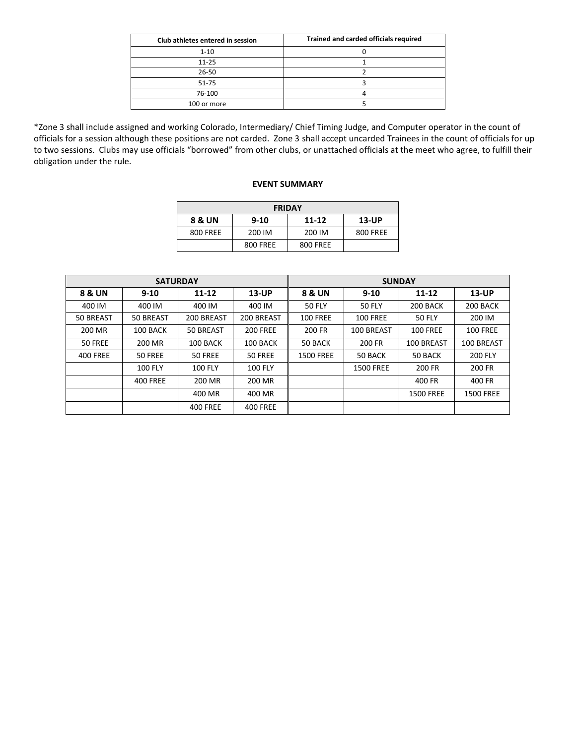| Club athletes entered in session | Trained and carded officials required |
|----------------------------------|---------------------------------------|
| $1 - 10$                         |                                       |
| $11 - 25$                        |                                       |
| $26 - 50$                        |                                       |
| 51-75                            |                                       |
| 76-100                           |                                       |
| 100 or more                      |                                       |

\*Zone 3 shall include assigned and working Colorado, Intermediary/ Chief Timing Judge, and Computer operator in the count of officials for a session although these positions are not carded. Zone 3 shall accept uncarded Trainees in the count of officials for up to two sessions. Clubs may use officials "borrowed" from other clubs, or unattached officials at the meet who agree, to fulfill their obligation under the rule.

#### **EVENT SUMMARY**

| <b>FRIDAY</b> |          |           |                 |  |  |  |  |  |  |
|---------------|----------|-----------|-----------------|--|--|--|--|--|--|
| 8 & UN        | $9 - 10$ | $11 - 12$ | $13$ -UP        |  |  |  |  |  |  |
| 800 FREE      | 200 IM   | 200 IM    | <b>800 FREE</b> |  |  |  |  |  |  |
|               | 800 FREE | 800 FREE  |                 |  |  |  |  |  |  |

|                   | <b>SATURDAY</b> |                 |                    |                  | <b>SUNDAY</b>    |                  |                  |
|-------------------|-----------------|-----------------|--------------------|------------------|------------------|------------------|------------------|
| <b>8 &amp; UN</b> | $9 - 10$        | 11-12           | 8 & UN<br>$13$ -UP |                  | $9 - 10$         | 11-12            | $13$ -UP         |
| 400 IM            | 400 IM          | 400 IM          | 400 IM             | <b>50 FLY</b>    | <b>50 FLY</b>    | 200 BACK         | 200 BACK         |
| 50 BREAST         | 50 BREAST       | 200 BREAST      | 200 BREAST         | <b>100 FREE</b>  | <b>100 FREE</b>  | <b>50 FLY</b>    | 200 IM           |
| 200 MR            | 100 BACK        | 50 BREAST       | <b>200 FREE</b>    | 200 FR           | 100 BREAST       | <b>100 FREE</b>  | <b>100 FREE</b>  |
| <b>50 FREE</b>    | 200 MR          | 100 BACK        | 100 BACK           | 50 BACK          | 200 FR           | 100 BREAST       | 100 BREAST       |
| <b>400 FREE</b>   | 50 FREE         | 50 FREE         | 50 FREE            | <b>1500 FREE</b> | 50 BACK          | 50 BACK          | <b>200 FLY</b>   |
|                   | 100 FLY         | <b>100 FLY</b>  | 100 FLY            |                  | <b>1500 FREE</b> | 200 FR           | 200 FR           |
|                   | <b>400 FREE</b> | 200 MR          | 200 MR             |                  |                  | 400 FR           | 400 FR           |
|                   |                 | 400 MR          | 400 MR             |                  |                  | <b>1500 FREE</b> | <b>1500 FREE</b> |
|                   |                 | <b>400 FREE</b> | <b>400 FREE</b>    |                  |                  |                  |                  |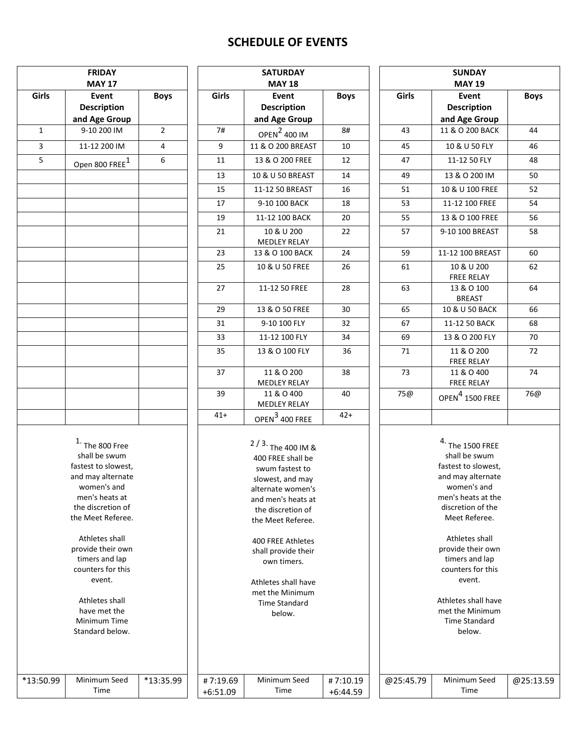# **SCHEDULE OF EVENTS**

| <b>FRIDAY</b><br><b>MAY 17</b> |                                                                                                                                                                                                                    |                | <b>SATURDAY</b><br><b>MAY 18</b> |                                                                                                                                                                                                                   | <b>SUNDAY</b><br><b>MAY 19</b> |                                 |                                                                                                                                                                                                                     |            |  |
|--------------------------------|--------------------------------------------------------------------------------------------------------------------------------------------------------------------------------------------------------------------|----------------|----------------------------------|-------------------------------------------------------------------------------------------------------------------------------------------------------------------------------------------------------------------|--------------------------------|---------------------------------|---------------------------------------------------------------------------------------------------------------------------------------------------------------------------------------------------------------------|------------|--|
| Girls                          | Event<br><b>Description</b><br>and Age Group                                                                                                                                                                       | <b>Boys</b>    | Girls                            | Event<br><b>Description</b><br>and Age Group                                                                                                                                                                      |                                | Girls                           | <b>Event</b><br><b>Description</b><br>and Age Group                                                                                                                                                                 | <b>Boy</b> |  |
| $\mathbf{1}$                   | 9-10 200 IM                                                                                                                                                                                                        | $\overline{2}$ | 7#                               | OPEN <sup>2</sup> 400 IM                                                                                                                                                                                          | 8#                             | 43                              | 11 & O 200 BACK                                                                                                                                                                                                     | 44         |  |
| $\overline{3}$                 | 11-12 200 IM                                                                                                                                                                                                       | 4              | 9                                | 11 & O 200 BREAST                                                                                                                                                                                                 | 10                             | 45                              | 10 & U 50 FLY                                                                                                                                                                                                       | 46         |  |
| 5                              | Open 800 FREE <sup>1</sup>                                                                                                                                                                                         | 6              | 11                               | 13 & O 200 FREE                                                                                                                                                                                                   | 12                             | 47                              | 11-12 50 FLY                                                                                                                                                                                                        | 48         |  |
|                                |                                                                                                                                                                                                                    |                | 13                               | 10 & U 50 BREAST                                                                                                                                                                                                  | 14                             | 49                              | 13 & O 200 IM                                                                                                                                                                                                       | 50         |  |
|                                |                                                                                                                                                                                                                    |                | 15                               | 11-12 50 BREAST                                                                                                                                                                                                   | 16                             | 51                              | 10 & U 100 FREE                                                                                                                                                                                                     | 52         |  |
|                                |                                                                                                                                                                                                                    |                | 17                               | 9-10 100 BACK                                                                                                                                                                                                     | 18                             | 53                              | 11-12 100 FREE                                                                                                                                                                                                      | 54         |  |
|                                |                                                                                                                                                                                                                    |                | 19                               | 11-12 100 BACK                                                                                                                                                                                                    | 20                             | 55                              | 13 & O 100 FREE                                                                                                                                                                                                     | 56         |  |
|                                |                                                                                                                                                                                                                    |                | 21                               | 10 & U 200<br><b>MEDLEY RELAY</b>                                                                                                                                                                                 | 22                             | 57                              | 9-10 100 BREAST                                                                                                                                                                                                     | 58         |  |
|                                |                                                                                                                                                                                                                    |                | 23                               | 13 & O 100 BACK                                                                                                                                                                                                   | 24                             | 59                              | 11-12 100 BREAST                                                                                                                                                                                                    | 60         |  |
|                                |                                                                                                                                                                                                                    |                | 25                               | 10 & U 50 FREE                                                                                                                                                                                                    | 26                             | 61                              | 10 & U 200<br>FREE RELAY                                                                                                                                                                                            | 62         |  |
|                                |                                                                                                                                                                                                                    |                | 27                               | 11-12 50 FREE                                                                                                                                                                                                     | 28                             | 63                              | 13 & O 100<br><b>BREAST</b>                                                                                                                                                                                         | 64         |  |
|                                |                                                                                                                                                                                                                    |                | 29                               | 13 & O 50 FREE                                                                                                                                                                                                    | 30                             | 65                              | 10 & U 50 BACK                                                                                                                                                                                                      | 66         |  |
|                                |                                                                                                                                                                                                                    |                | 31                               | 9-10 100 FLY                                                                                                                                                                                                      | 32                             | 67                              | 11-12 50 BACK                                                                                                                                                                                                       | 68         |  |
|                                |                                                                                                                                                                                                                    |                | 33                               | 11-12 100 FLY                                                                                                                                                                                                     | 34                             | 69                              | 13 & O 200 FLY                                                                                                                                                                                                      | 70         |  |
|                                |                                                                                                                                                                                                                    | 35             | 13 & O 100 FLY                   | 36                                                                                                                                                                                                                | 71                             | 11 & O 200<br><b>FREE RELAY</b> | 72                                                                                                                                                                                                                  |            |  |
|                                |                                                                                                                                                                                                                    |                | 37                               | 11 & O 200<br><b>MEDLEY RELAY</b>                                                                                                                                                                                 | 38                             | 73                              | 11 & O 400<br>FREE RELAY                                                                                                                                                                                            | 74         |  |
|                                |                                                                                                                                                                                                                    |                | 39                               | 11 & O 400<br><b>MEDLEY RELAY</b>                                                                                                                                                                                 | 40                             | 75@                             | OPEN <sup>4</sup> 1500 FREE                                                                                                                                                                                         | 76         |  |
|                                |                                                                                                                                                                                                                    |                | $41+$                            | OPEN <sup>3</sup> 400 FREE                                                                                                                                                                                        | $42+$                          |                                 |                                                                                                                                                                                                                     |            |  |
|                                | $1.$ The 800 Free<br>shall be swum<br>fastest to slowest,<br>and may alternate<br>women's and<br>men's heats at<br>the discretion of<br>the Meet Referee.<br>Athletes shall<br>provide their own<br>timers and lap |                |                                  | $2/3$ . The 400 IM &<br>400 FREE shall be<br>swum fastest to<br>slowest, and may<br>alternate women's<br>and men's heats at<br>the discretion of<br>the Meet Referee.<br>400 FREE Athletes<br>shall provide their |                                |                                 | $4.$ The 1500 FREE<br>shall be swum<br>fastest to slowest,<br>and may alternate<br>women's and<br>men's heats at the<br>discretion of the<br>Meet Referee.<br>Athletes shall<br>provide their own<br>timers and lap |            |  |
|                                | counters for this<br>event.<br>Athletes shall<br>have met the<br>Minimum Time<br>Standard below.                                                                                                                   |                |                                  | own timers.<br>Athletes shall have<br>met the Minimum<br><b>Time Standard</b><br>below.                                                                                                                           |                                |                                 | counters for this<br>event.<br>Athletes shall have<br>met the Minimum<br><b>Time Standard</b><br>below.                                                                                                             |            |  |
| *13:50.99                      | Minimum Seed<br>Time                                                                                                                                                                                               | *13:35.99      | #7:19.69<br>$+6:51.09$           | Minimum Seed<br>Time                                                                                                                                                                                              | #7:10.19<br>$+6:44.59$         | @25:45.79                       | Minimum Seed<br>Time                                                                                                                                                                                                | @25:1      |  |

|             |               | <b>SUNDAY</b>                   |             |  |  |  |  |  |  |
|-------------|---------------|---------------------------------|-------------|--|--|--|--|--|--|
|             | <b>MAY 19</b> |                                 |             |  |  |  |  |  |  |
| <b>Boys</b> | Girls         | Event                           | <b>Boys</b> |  |  |  |  |  |  |
|             |               | <b>Description</b>              |             |  |  |  |  |  |  |
|             |               | and Age Group                   |             |  |  |  |  |  |  |
| 8#          | 43            | 11 & O 200 BACK                 | 44          |  |  |  |  |  |  |
| 10          | 45            | 10 & U 50 FLY                   | 46          |  |  |  |  |  |  |
| 12          | 47            | 11-12 50 FLY                    | 48          |  |  |  |  |  |  |
| 14          | 49            | 13 & O 200 IM                   | 50          |  |  |  |  |  |  |
| 16          | 51            | 10 & U 100 FREE                 | 52          |  |  |  |  |  |  |
| 18          | 53            | 11-12 100 FREE                  | 54          |  |  |  |  |  |  |
| 20          | 55            | 13 & O 100 FREE                 | 56          |  |  |  |  |  |  |
| 22          | 57            | 9-10 100 BREAST                 | 58          |  |  |  |  |  |  |
| 24          | 59            | 11-12 100 BREAST                | 60          |  |  |  |  |  |  |
| 26          | 61            | 10 & U 200                      | 62          |  |  |  |  |  |  |
|             |               | <b>FREE RELAY</b>               |             |  |  |  |  |  |  |
| 28          | 63            | 13 & O 100<br><b>BREAST</b>     | 64          |  |  |  |  |  |  |
| 30          | 65            | 10 & U 50 BACK                  | 66          |  |  |  |  |  |  |
| 32          | 67            | 11-12 50 BACK                   | 68          |  |  |  |  |  |  |
| 34          | 69            | 13 & O 200 FLY                  | 70          |  |  |  |  |  |  |
| 36          | 71            | 11 & O 200                      | 72          |  |  |  |  |  |  |
|             |               | <b>FREE RELAY</b>               |             |  |  |  |  |  |  |
| 38          | 73            | 11 & O 400<br><b>FREE RELAY</b> | 74          |  |  |  |  |  |  |
| 40          | 75@           | OPEN $^4$ 1500 FREE             | 76@         |  |  |  |  |  |  |
| $42+$       |               |                                 |             |  |  |  |  |  |  |

| $4.$ The 1500 FREE  |
|---------------------|
| shall be swum       |
| fastest to slowest, |
| and may alternate   |
| women's and         |
| men's heats at the  |
| discretion of the   |
| Meet Referee.       |
|                     |
| Athletes shall      |

@25:13.59